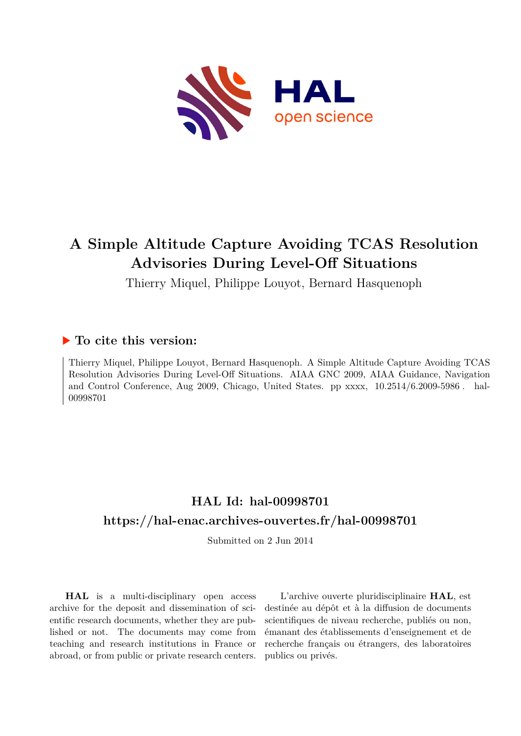

# **A Simple Altitude Capture Avoiding TCAS Resolution Advisories During Level-Off Situations**

Thierry Miquel, Philippe Louyot, Bernard Hasquenoph

## **To cite this version:**

Thierry Miquel, Philippe Louyot, Bernard Hasquenoph. A Simple Altitude Capture Avoiding TCAS Resolution Advisories During Level-Off Situations. AIAA GNC 2009, AIAA Guidance, Navigation and Control Conference, Aug 2009, Chicago, United States. pp xxxx, 10.2514/6.2009-5986. hal-00998701ff

## **HAL Id: hal-00998701 <https://hal-enac.archives-ouvertes.fr/hal-00998701>**

Submitted on 2 Jun 2014

**HAL** is a multi-disciplinary open access archive for the deposit and dissemination of scientific research documents, whether they are published or not. The documents may come from teaching and research institutions in France or abroad, or from public or private research centers.

L'archive ouverte pluridisciplinaire **HAL**, est destinée au dépôt et à la diffusion de documents scientifiques de niveau recherche, publiés ou non, émanant des établissements d'enseignement et de recherche français ou étrangers, des laboratoires publics ou privés.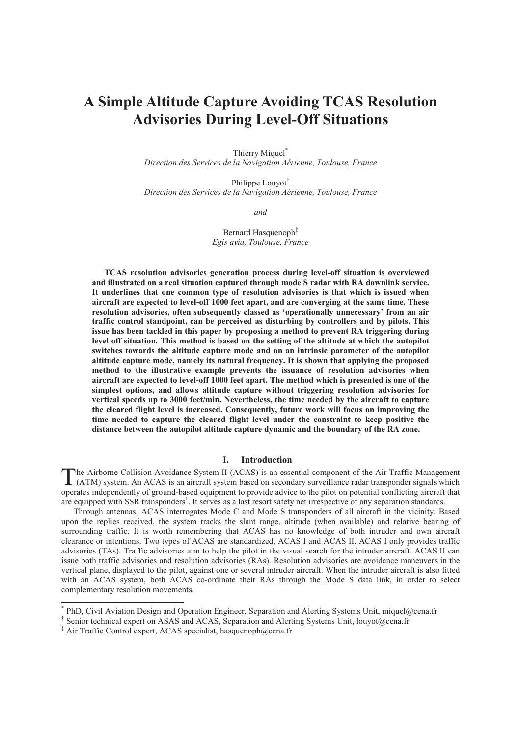## A Simple Altitude Capture Avoiding TCAS Resolution **Advisories During Level-Off Situations**

Thierry Miquel<sup>\*</sup> Direction des Services de la Navigation Aérienne, Toulouse, France

Philippe Louyot<sup>†</sup> Direction des Services de la Navigation Aérienne, Toulouse, France

and

Bernard Hasquenoph<sup>1</sup> Egis avia, Toulouse, France

TCAS resolution advisories generation process during level-off situation is overviewed and illustrated on a real situation captured through mode S radar with RA downlink service. It underlines that one common type of resolution advisories is that which is issued when aircraft are expected to level-off 1000 feet apart, and are converging at the same time. These resolution advisories, often subsequently classed as 'operationally unnecessary' from an air traffic control standpoint, can be perceived as disturbing by controllers and by pilots. This issue has been tackled in this paper by proposing a method to prevent RA triggering during level off situation. This method is based on the setting of the altitude at which the autopilot switches towards the altitude capture mode and on an intrinsic parameter of the autopilot altitude capture mode, namely its natural frequency. It is shown that applying the proposed method to the illustrative example prevents the issuance of resolution advisories when aircraft are expected to level-off 1000 feet apart. The method which is presented is one of the simplest options, and allows altitude capture without triggering resolution advisories for vertical speeds up to 3000 feet/min. Nevertheless, the time needed by the aircraft to capture the cleared flight level is increased. Consequently, future work will focus on improving the time needed to capture the cleared flight level under the constraint to keep positive the distance between the autopilot altitude capture dynamic and the boundary of the RA zone.

#### $\mathbf{L}$ **Introduction**

The Airborne Collision Avoidance System II (ACAS) is an essential component of the Air Traffic Management (ATM) system. An ACAS is an aircraft system based on secondary surveillance radar transponder signals which operates independently of ground-based equipment to provide advice to the pilot on potential conflicting aircraft that are equipped with SSR transponders<sup>1</sup>. It serves as a last resort safety net irrespective of any separation standards.

Through antennas, ACAS interrogates Mode C and Mode S transponders of all aircraft in the vicinity. Based upon the replies received, the system tracks the slant range, altitude (when available) and relative bearing of surrounding traffic. It is worth remembering that ACAS has no knowledge of both intruder and own aircraft clearance or intentions. Two types of ACAS are standardized, ACAS I and ACAS II. ACAS I only provides traffic advisories (TAs). Traffic advisories aim to help the pilot in the visual search for the intruder aircraft. ACAS II can issue both traffic advisories and resolution advisories (RAs). Resolution advisories are avoidance maneuvers in the vertical plane, displayed to the pilot, against one or several intruder aircraft. When the intruder aircraft is also fitted with an ACAS system, both ACAS co-ordinate their RAs through the Mode S data link, in order to select complementary resolution movements.

<sup>\*</sup> PhD, Civil Aviation Design and Operation Engineer, Separation and Alerting Systems Unit, miquel@cena.fr

<sup>&</sup>lt;sup>†</sup> Senior technical expert on ASAS and ACAS, Separation and Alerting Systems Unit, louvot@cena.fr

<sup>&</sup>lt;sup>‡</sup> Air Traffic Control expert, ACAS specialist, hasquenoph@cena.fr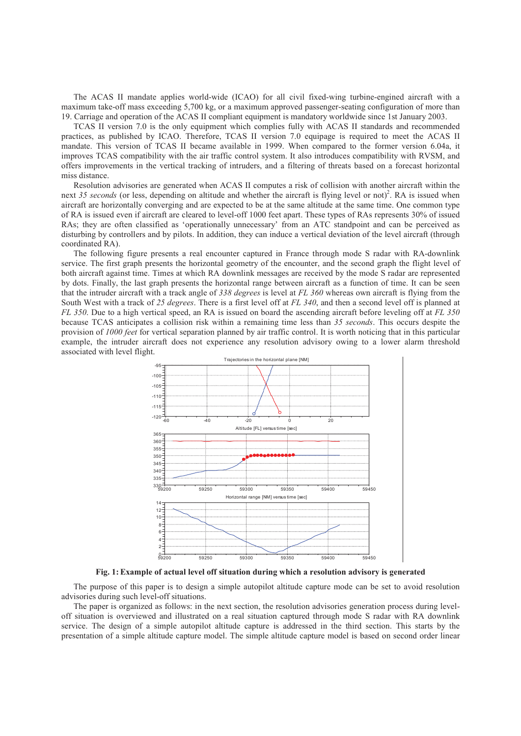The ACAS II mandate applies world-wide (ICAO) for all civil fixed-wing turbine-engined aircraft with a maximum take-off mass exceeding 5,700 kg, or a maximum approved passenger-seating configuration of more than 19. Carriage and operation of the ACAS II compliant equipment is mandatory worldwide since 1st January 2003.

TCAS II version 7.0 is the only equipment which complies fully with ACAS II standards and recommended practices, as published by ICAO. Therefore, TCAS II version 7.0 equipage is required to meet the ACAS II mandate. This version of TCAS II became available in 1999. When compared to the former version 6.04a, it improves TCAS compatibility with the air traffic control system. It also introduces compatibility with RVSM, and offers improvements in the vertical tracking of intruders, and a filtering of threats based on a forecast horizontal miss distance.

Resolution advisories are generated when ACAS II computes a risk of collision with another aircraft within the next 35 seconds (or less, depending on altitude and whether the aircraft is flying level or not)<sup>2</sup>. RA is issued when aircraft are horizontally converging and are expected to be at the same altitude at the same time. One common type of RA is issued even if aircraft are cleared to level-off 1000 feet apart. These types of RAs represents 30% of issued RAs; they are often classified as 'operationally unnecessary' from an ATC standpoint and can be perceived as disturbing by controllers and by pilots. In addition, they can induce a vertical deviation of the level aircraft (through coordinated RA).

The following figure presents a real encounter captured in France through mode S radar with RA-downlink service. The first graph presents the horizontal geometry of the encounter, and the second graph the flight level of both aircraft against time. Times at which RA downlink messages are received by the mode S radar are represented by dots. Finally, the last graph presents the horizontal range between aircraft as a function of time. It can be seen that the intruder aircraft with a track angle of 338 degrees is level at FL 360 whereas own aircraft is flying from the South West with a track of 25 degrees. There is a first level off at FL 340, and then a second level off is planned at FL 350. Due to a high vertical speed, an RA is issued on board the ascending aircraft before leveling off at FL 350 because TCAS anticipates a collision risk within a remaining time less than 35 seconds. This occurs despite the provision of 1000 feet for vertical separation planned by air traffic control. It is worth noticing that in this particular example, the intruder aircraft does not experience any resolution advisory owing to a lower alarm threshold associated with level flight.



Fig. 1: Example of actual level off situation during which a resolution advisory is generated

The purpose of this paper is to design a simple autopilot altitude capture mode can be set to avoid resolution advisories during such level-off situations.

The paper is organized as follows: in the next section, the resolution advisories generation process during leveloff situation is overviewed and illustrated on a real situation captured through mode S radar with RA downlink service. The design of a simple autopilot altitude capture is addressed in the third section. This starts by the presentation of a simple altitude capture model. The simple altitude capture model is based on second order linear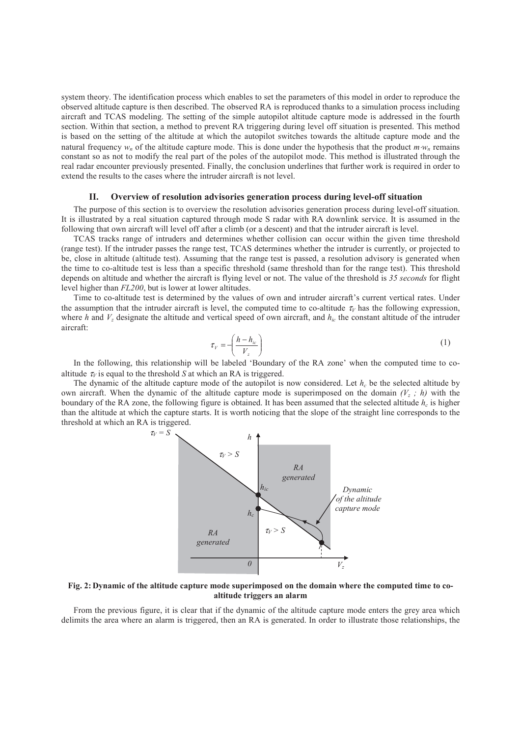system theory. The identification process which enables to set the parameters of this model in order to reproduce the observed altitude capture is then described. The observed RA is reproduced thanks to a simulation process including aircraft and TCAS modeling. The setting of the simple autopilot altitude capture mode is addressed in the fourth section. Within that section, a method to prevent RA triggering during level off situation is presented. This method is based on the setting of the altitude at which the autopilot switches towards the altitude capture mode and the natural frequency  $w_n$  of the altitude capture mode. This is done under the hypothesis that the product  $m w_n$  remains constant so as not to modify the real part of the poles of the autopilot mode. This method is illustrated through the real radar encounter previously presented. Finally, the conclusion underlines that further work is required in order to extend the results to the cases where the intruder aircraft is not level.

#### Overview of resolution advisories generation process during level-off situation II.

The purpose of this section is to overview the resolution advisories generation process during level-off situation. It is illustrated by a real situation captured through mode S radar with RA downlink service. It is assumed in the following that own aircraft will level off after a climb (or a descent) and that the intruder aircraft is level.

TCAS tracks range of intruders and determines whether collision can occur within the given time threshold (range test). If the intruder passes the range test, TCAS determines whether the intruder is currently, or projected to be, close in altitude (altitude test). Assuming that the range test is passed, a resolution advisory is generated when the time to co-altitude test is less than a specific threshold (same threshold than for the range test). This threshold depends on altitude and whether the aircraft is flying level or not. The value of the threshold is 35 seconds for flight level higher than FL200, but is lower at lower altitudes.

Time to co-altitude test is determined by the values of own and intruder aircraft's current vertical rates. Under the assumption that the intruder aircraft is level, the computed time to co-altitude  $\tau_V$  has the following expression, where h and  $V_z$  designate the altitude and vertical speed of own aircraft, and  $h_{ic}$  the constant altitude of the intruder aircraft:

$$
\tau_{V} = -\left(\frac{h - h_{ic}}{V_{z}}\right) \tag{1}
$$

In the following, this relationship will be labeled 'Boundary of the RA zone' when the computed time to coaltitude  $\tau_V$  is equal to the threshold S at which an RA is triggered.

The dynamic of the altitude capture mode of the autopilot is now considered. Let  $h_c$  be the selected altitude by own aircraft. When the dynamic of the altitude capture mode is superimposed on the domain  $(V_z$ ; h) with the boundary of the RA zone, the following figure is obtained. It has been assumed that the selected altitude  $h_c$  is higher than the altitude at which the capture starts. It is worth noticing that the slope of the straight line corresponds to the threshold at which an RA is triggered.



#### Fig. 2: Dynamic of the altitude capture mode superimposed on the domain where the computed time to coaltitude triggers an alarm

From the previous figure, it is clear that if the dynamic of the altitude capture mode enters the grey area which delimits the area where an alarm is triggered, then an RA is generated. In order to illustrate those relationships, the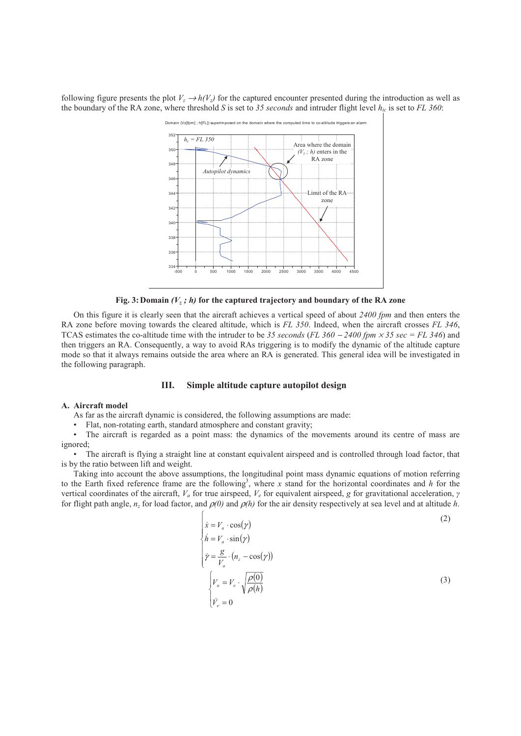following figure presents the plot  $V_z \rightarrow h(V_z)$  for the captured encounter presented during the introduction as well as the boundary of the RA zone, where threshold S is set to 35 seconds and intruder flight level  $h_{ic}$  is set to FL 360:



Fig. 3: Domain ( $V_z$ ; h) for the captured trajectory and boundary of the RA zone

On this figure it is clearly seen that the aircraft achieves a vertical speed of about  $2400$  fpm and then enters the RA zone before moving towards the cleared altitude, which is FL 350. Indeed, when the aircraft crosses FL 346, TCAS estimates the co-altitude time with the intruder to be 35 seconds (FL 360 – 2400 fpm  $\times$  35 sec = FL 346) and then triggers an RA. Consequently, a way to avoid RAs triggering is to modify the dynamic of the altitude capture mode so that it always remains outside the area where an RA is generated. This general idea will be investigated in the following paragraph.

#### III. Simple altitude capture autopilot design

### A. Aircraft model

As far as the aircraft dynamic is considered, the following assumptions are made:

• Flat, non-rotating earth, standard atmosphere and constant gravity;<br>• The aircraft is regarded as a noint mass; the dynamics of the r

The aircraft is regarded as a point mass: the dynamics of the movements around its centre of mass are ignored:

• The aircraft is flying a straight line at constant equivalent airspeed and is controlled through load factor, that is by the ratio between lift and weight.

Taking into account the above assumptions, the longitudinal point mass dynamic equations of motion referring to the Earth fixed reference frame are the following<sup>3</sup>, where x stand for the horizontal coordinates and h for the vertical coordinates of the aircraft,  $V_a$  for true airspeed,  $V_e$  for equivalent airspeed, g for gravitational acceleration,  $\gamma$ for flight path angle,  $n_z$  for load factor, and  $\rho(0)$  and  $\rho(h)$  for the air density respectively at sea level and at altitude h.

$$
\begin{cases}\n\dot{x} = V_a \cdot \cos(\gamma) \\
\dot{h} = V_a \cdot \sin(\gamma) \\
\dot{\gamma} = \frac{g}{V_a} \cdot (n_z - \cos(\gamma)) \\
\int V_a = V_e \cdot \sqrt{\frac{\rho(0)}{\rho(h)}} \\
\dot{V}_e = 0\n\end{cases}
$$
\n(2)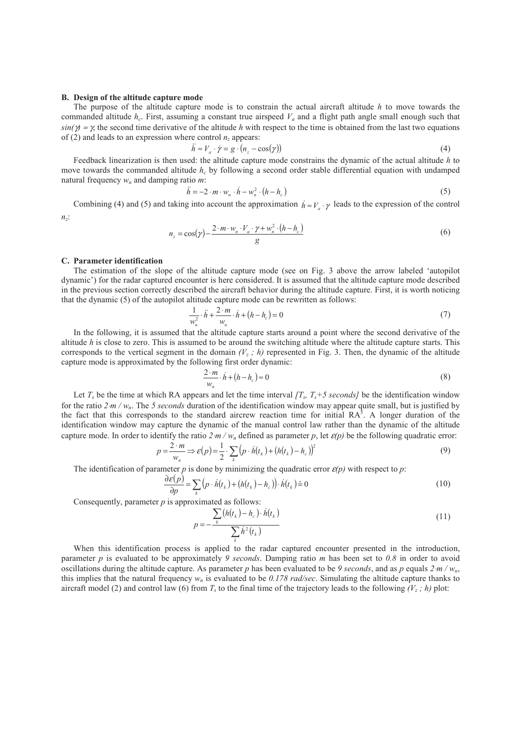#### B. Design of the altitude capture mode

The purpose of the altitude capture mode is to constrain the actual aircraft altitude  $h$  to move towards the commanded altitude  $h_c$ . First, assuming a constant true airspeed  $V_a$  and a flight path angle small enough such that  $sin(\gamma) \approx \gamma$ , the second time derivative of the altitude h with respect to the time is obtained from the last two equations of (2) and leads to an expression where control  $n_z$  appears:

$$
\ddot{h} \approx V_a \cdot \dot{\gamma} = g \cdot (n_z - \cos(\gamma)) \tag{4}
$$

Feedback linearization is then used: the altitude capture mode constrains the dynamic of the actual altitude h to move towards the commanded altitude  $h_c$  by following a second order stable differential equation with undamped natural frequency  $w_n$  and damping ratio m:

$$
\ddot{h} = -2 \cdot m \cdot w_n \cdot \dot{h} - w_n^2 \cdot (h - h_c) \tag{5}
$$

Combining (4) and (5) and taking into account the approximation  $\dot{h} \approx V_a \cdot \gamma$  leads to the expression of the control  $n_z$ :

$$
n_z = \cos(\gamma) - \frac{2 \cdot m \cdot w_n \cdot V_a \cdot \gamma + w_n^2 \cdot (h - h_c)}{g} \tag{6}
$$

#### C. Parameter identification

The estimation of the slope of the altitude capture mode (see on Fig. 3 above the arrow labeled 'autopilot dynamic') for the radar captured encounter is here considered. It is assumed that the altitude capture mode described in the previous section correctly described the aircraft behavior during the altitude capture. First, it is worth noticing that the dynamic (5) of the autopilot altitude capture mode can be rewritten as follows:

$$
\frac{1}{w_n^2} \cdot \ddot{h} + \frac{2 \cdot m}{w_n} \cdot \dot{h} + (h - h_c) = 0 \tag{7}
$$

In the following, it is assumed that the altitude capture starts around a point where the second derivative of the altitude  $h$  is close to zero. This is assumed to be around the switching altitude where the altitude capture starts. This corresponds to the vertical segment in the domain  $(V_z; h)$  represented in Fig. 3. Then, the dynamic of the altitude capture mode is approximated by the following first order dynamic:

$$
\frac{2 \cdot m}{w_n} \cdot \dot{h} + (h - h_c) \approx 0 \tag{8}
$$

Let  $T_s$  be the time at which RA appears and let the time interval  $T_s$ ,  $T_s + 5$  seconds] be the identification window for the ratio  $2 \cdot m / w_n$ . The 5 seconds duration of the identification window may appear quite small, but is justified by the fact that this corresponds to the standard aircrew reaction time for initial RA<sup>5</sup>. A longer duration of the identification window may capture the dynamic of the manual control law rather than the dynamic of the altitude capture mode. In order to identify the ratio  $2 \cdot m / w_n$  defined as parameter p, let  $\varepsilon(p)$  be the following quadratic error:

$$
p = \frac{2 \cdot m}{w_n} \Rightarrow \varepsilon(p) = \frac{1}{2} \cdot \sum_{k} \left( p \cdot \dot{h}(t_k) + (h(t_k) - h_c) \right)^2 \tag{9}
$$

The identification of parameter p is done by minimizing the quadratic error  $\varepsilon(p)$  with respect to p:

$$
\frac{\partial \mathcal{E}(p)}{\partial p} = \sum_{k} \left( p \cdot \dot{h}(t_k) + \left( h(t_k) - h_c \right) \right) \cdot \dot{h}(t_k) \hat{=} 0 \tag{10}
$$

Consequently, parameter  $p$  is approximated as follows:

$$
p = -\frac{\sum_{k} (h(t_k) - h_c) \cdot \dot{h}(t_k)}{\sum_{k} \dot{h}^2(t_k)}
$$
(11)

When this identification process is applied to the radar captured encounter presented in the introduction, parameter  $p$  is evaluated to be approximately 9 seconds. Damping ratio  $m$  has been set to 0.8 in order to avoid oscillations during the altitude capture. As parameter p has been evaluated to be 9 seconds, and as p equals  $2 \cdot m / w_n$ , this implies that the natural frequency  $w_n$  is evaluated to be 0.178 rad/sec. Simulating the altitude capture thanks to aircraft model (2) and control law (6) from  $T_s$  to the final time of the trajectory leads to the following ( $V_z$ ; h) plot: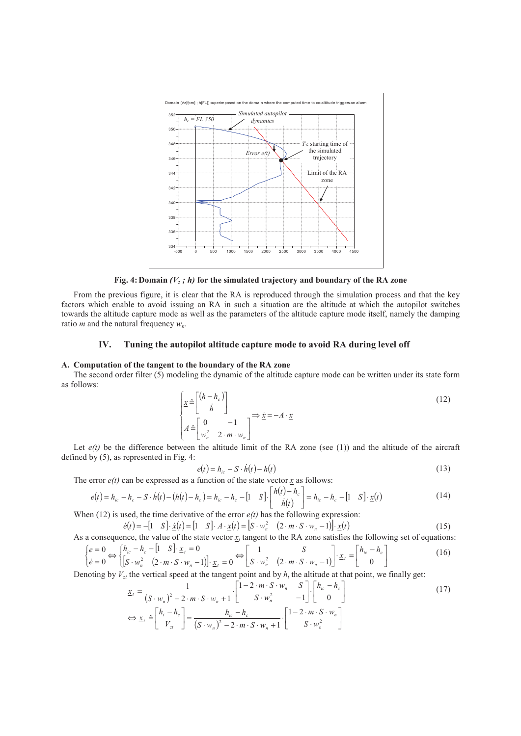

Fig. 4: Domain ( $V_z$ ; h) for the simulated trajectory and boundary of the RA zone

From the previous figure, it is clear that the RA is reproduced through the simulation process and that the key factors which enable to avoid issuing an RA in such a situation are the altitude at which the autopilot switches towards the altitude capture mode as well as the parameters of the altitude capture mode itself, namely the damping ratio *m* and the natural frequency  $w_n$ .

### IV. Tuning the autopilot altitude capture mode to avoid RA during level off

#### A. Computation of the tangent to the boundary of the RA zone

The second order filter  $(5)$  modeling the dynamic of the altitude capture mode can be written under its state form as follows:

$$
\begin{cases}\n\underline{x} \triangleq \begin{bmatrix}\n(h - h_c) \\
\dot{h}\n\end{bmatrix} \\
A \triangleq \begin{bmatrix}\n0 & -1 \\
w_n^2 & 2 \cdot m \cdot w_n\n\end{bmatrix} \Rightarrow \underline{\dot{x}} = -A \cdot \underline{x}\n\end{cases}
$$
\n(12)

Let  $e(t)$  be the difference between the altitude limit of the RA zone (see (1)) and the altitude of the aircraft defined by  $(5)$ , as represented in Fig. 4:

$$
e(t) = h_{ic} - S \cdot \dot{h}(t) - h(t) \tag{13}
$$

The error  $e(t)$  can be expressed as a function of the state vector x as follows:

$$
e(t) = h_{ic} - h_c - S \cdot \dot{h}(t) - (h(t) - h_c) = h_{ic} - h_c - [1 \quad S] \cdot \begin{bmatrix} h(t) - h_c \\ \dot{h}(t) \end{bmatrix} = h_{ic} - h_c - [1 \quad S] \cdot \underline{x}(t)
$$
(14)

When (12) is used, the time derivative of the error  $e(t)$  has the following expression:

$$
\dot{e}(t) = -[1 \quad S] \cdot \dot{\underline{x}}(t) = [1 \quad S] \cdot A \cdot \underline{x}(t) = [S \cdot w_n^2 \quad (2 \cdot m \cdot S \cdot w_n - 1)] \cdot \underline{x}(t)
$$
\n(15)

As a consequence, the value of the state vector  $\underline{x}_t$  tangent to the RA zone satisfies the following set of equations:

$$
\begin{cases} e = 0 & \text{if } h_{ic} - h_c - [1 \quad S] \cdot \underline{x}_t = 0 \\ \dot{e} = 0 & \text{if } \text{if } S \cdot w_n^2 \quad (2 \cdot m \cdot S \cdot w_n - 1) \end{cases} \cdot \underline{x}_t = 0 \Leftrightarrow \begin{bmatrix} 1 & S \\ S \cdot w_n^2 & (2 \cdot m \cdot S \cdot w_n - 1) \end{bmatrix} \cdot \underline{x}_t = \begin{bmatrix} h_{ic} - h_c \\ 0 \end{bmatrix} \tag{16}
$$

Denoting by  $V_{zt}$  the vertical speed at the tangent point and by  $h_t$  the altitude at that point, we finally get:

$$
\underline{x}_{t} = \frac{1}{(S \cdot w_{n})^{2} - 2 \cdot m \cdot S \cdot w_{n} + 1} \cdot \begin{bmatrix} 1 - 2 \cdot m \cdot S \cdot w_{n} & S \\ S \cdot w_{n}^{2} & -1 \end{bmatrix} \cdot \begin{bmatrix} h_{ic} - h_{c} \\ 0 \end{bmatrix}
$$
\n
$$
\Leftrightarrow \underline{x}_{t} \hat{=} \begin{bmatrix} h_{t} - h_{c} \\ V_{zt} \end{bmatrix} = \frac{h_{ic} - h_{c}}{(S \cdot w_{n})^{2} - 2 \cdot m \cdot S \cdot w_{n} + 1} \cdot \begin{bmatrix} 1 - 2 \cdot m \cdot S \cdot w_{n} \\ S \cdot w_{n}^{2} \end{bmatrix}
$$
\n(17)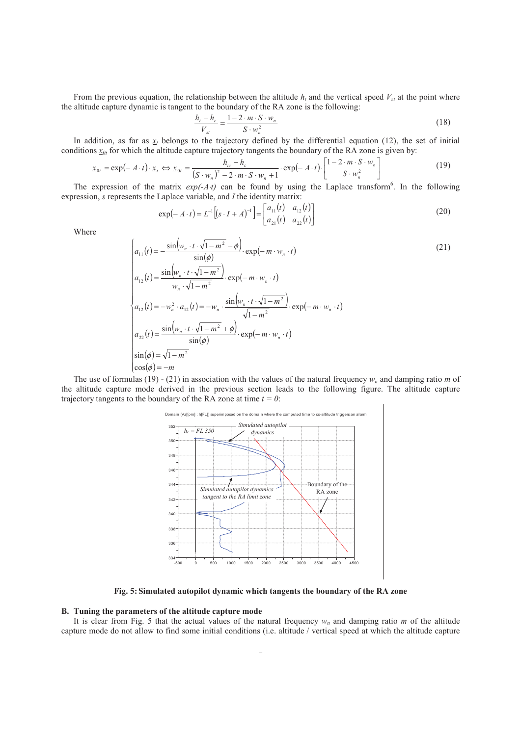From the previous equation, the relationship between the altitude  $h_t$  and the vertical speed  $V_{zt}$  at the point where the altitude capture dynamic is tangent to the boundary of the RA zone is the following:

$$
\frac{h_t - h_c}{V_{zt}} = \frac{1 - 2 \cdot m \cdot S \cdot w_n}{S \cdot w_n^2} \tag{18}
$$

In addition, as far as  $x_t$  belongs to the trajectory defined by the differential equation (12), the set of initial conditions  $x_{0t}$  for which the altitude capture trajectory tangents the boundary of the RA zone is given by:

$$
\underline{x}_{0t} = \exp(-A \cdot t) \cdot \underline{x}_t \Leftrightarrow \underline{x}_{0t} = \frac{h_{ic} - h_c}{(S \cdot w_n)^2 - 2 \cdot m \cdot S \cdot w_n + 1} \cdot \exp(-A \cdot t) \cdot \begin{bmatrix} 1 - 2 \cdot m \cdot S \cdot w_n \\ S \cdot w_n^2 \end{bmatrix}
$$
(19)

The expression of the matrix  $exp(-A t)$  can be found by using the Laplace transform<sup>6</sup>. In the following expression,  $s$  represents the Laplace variable, and  $I$  the identity matrix:

$$
\exp(-A \cdot t) = L^{-1} \left[ (s \cdot I + A)^{-1} \right] = \begin{bmatrix} a_{11}(t) & a_{12}(t) \\ a_{21}(t) & a_{22}(t) \end{bmatrix}
$$
 (20)

Where

$$
\begin{cases}\na_{11}(t) = -\frac{\sin(w_n \cdot t \cdot \sqrt{1 - m^2} - \phi)}{\sin(\phi)} \cdot \exp(-m \cdot w_n \cdot t) \\
a_{12}(t) = \frac{\sin(w_n \cdot t \cdot \sqrt{1 - m^2})}{w_n \cdot \sqrt{1 - m^2}} \cdot \exp(-m \cdot w_n \cdot t) \\
a_{12}(t) = -w_n^2 \cdot a_{12}(t) = -w_n \cdot \frac{\sin(w_n \cdot t \cdot \sqrt{1 - m^2})}{\sqrt{1 - m^2}} \cdot \exp(-m \cdot w_n \cdot t) \\
a_{22}(t) = \frac{\sin(w_n \cdot t \cdot \sqrt{1 - m^2} + \phi)}{\sin(\phi)} \cdot \exp(-m \cdot w_n \cdot t) \\
\sin(\phi) = \sqrt{1 - m^2} \\
\cos(\phi) = -m\n\end{cases} (21)
$$
\n(21)

The use of formulas (19) - (21) in association with the values of the natural frequency  $w_n$  and damping ratio m of the altitude capture mode derived in the previous section leads to the following figure. The altitude capture trajectory tangents to the boundary of the RA zone at time  $t = 0$ :



Fig. 5: Simulated autopilot dynamic which tangents the boundary of the RA zone

#### B. Tuning the parameters of the altitude capture mode

It is clear from Fig. 5 that the actual values of the natural frequency  $w_n$  and damping ratio m of the altitude capture mode do not allow to find some initial conditions (i.e. altitude / vertical speed at which the altitude capture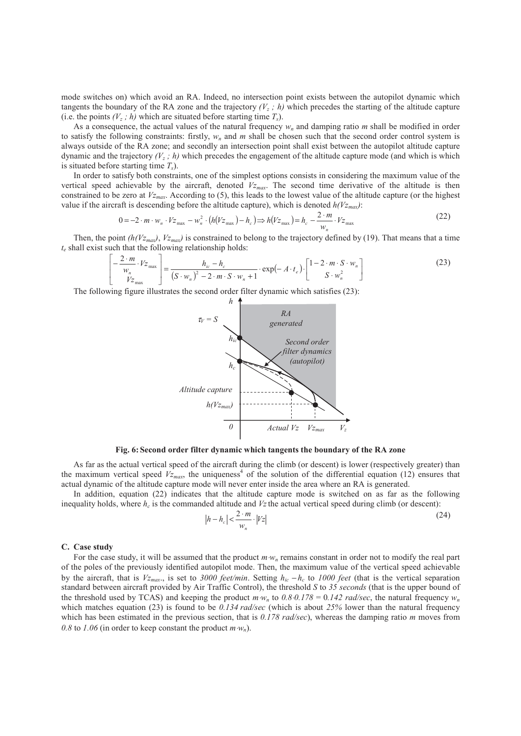mode switches on) which avoid an RA. Indeed, no intersection point exists between the autopilot dynamic which tangents the boundary of the RA zone and the trajectory  $(V_z; h)$  which precedes the starting of the altitude capture (i.e. the points  $(V_z; h)$  which are situated before starting time  $T_s$ ).

As a consequence, the actual values of the natural frequency  $w_n$  and damping ratio m shall be modified in order to satisfy the following constraints: firstly,  $w_n$  and m shall be chosen such that the second order control system is always outside of the RA zone; and secondly an intersection point shall exist between the autopilot altitude capture dynamic and the trajectory  $(V_z, h)$  which precedes the engagement of the altitude capture mode (and which is which is situated before starting time  $T_s$ ).

In order to satisfy both constraints, one of the simplest options consists in considering the maximum value of the vertical speed achievable by the aircraft, denoted  $V_{Z_{max}}$ . The second time derivative of the altitude is then constrained to be zero at  $V_{Z_{max}}$ . According to (5), this leads to the lowest value of the altitude capture (or the highest value if the aircraft is descending before the altitude capture), which is denoted  $h(Vz_{max})$ :

$$
0 = -2 \cdot m \cdot w_n \cdot V_{Z_{\text{max}}} - w_n^2 \cdot (h(V_{Z_{\text{max}}}) - h_c) \Rightarrow h(V_{Z_{\text{max}}}) = h_c - \frac{2 \cdot m}{w_n} \cdot V_{Z_{\text{max}}} \tag{22}
$$

Then, the point  $(h(Vz_{max}), Vz_{max})$  is constrained to belong to the trajectory defined by (19). That means that a time  $t_e$  shall exist such that the following relationship holds:

$$
\begin{bmatrix} -\frac{2 \cdot m}{w_n} \cdot V_{Z_{\text{max}}}\n\end{bmatrix} = \frac{h_{ic} - h_c}{(S \cdot w_n)^2 - 2 \cdot m \cdot S \cdot w_n + 1} \cdot \exp(-A \cdot t_e) \cdot \begin{bmatrix} 1 - 2 \cdot m \cdot S \cdot w_n\n\end{bmatrix}
$$
 (23)

The following figure illustrates the second order filter dynamic which satisfies (23):



Fig. 6: Second order filter dynamic which tangents the boundary of the RA zone

As far as the actual vertical speed of the aircraft during the climb (or descent) is lower (respectively greater) than the maximum vertical speed  $V_{Zmax}$ , the uniqueness<sup>4</sup> of the solution of the differential equation (12) ensures that actual dynamic of the altitude capture mode will never enter inside the area where an RA is generated.

In addition, equation (22) indicates that the altitude capture mode is switched on as far as the following inequality holds, where  $h_c$  is the commanded altitude and  $V_z$  the actual vertical speed during climb (or descent):

$$
|h - h_c| < \frac{2 \cdot m}{w_m} \cdot |Vz| \tag{24}
$$

#### C. Case study

For the case study, it will be assumed that the product  $m w_n$  remains constant in order not to modify the real part of the poles of the previously identified autopilot mode. Then, the maximum value of the vertical speed achievable by the aircraft, that is  $Vz_{max}$ , is set to 3000 feet/min. Setting  $h_{ic} - h_c$  to 1000 feet (that is the vertical separation standard between aircraft provided by Air Traffic Control), the threshold S to 35 seconds (that is the upper bound of the threshold used by TCAS) and keeping the product  $m w_n$  to 0.8.0.178 = 0.142 rad/sec, the natural frequency  $w_n$ which matches equation (23) is found to be 0.134 rad/sec (which is about 25% lower than the natural frequency which has been estimated in the previous section, that is 0.178 rad/sec), whereas the damping ratio m moves from 0.8 to 1.06 (in order to keep constant the product  $m w_n$ ).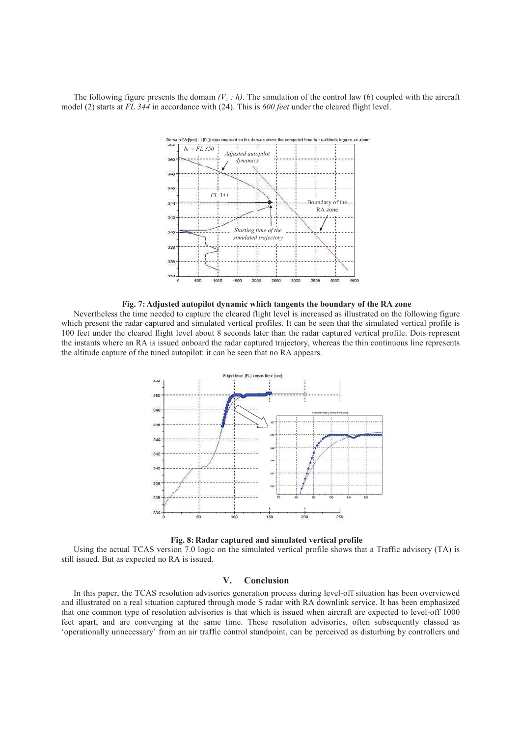The following figure presents the domain  $(V_z; h)$ . The simulation of the control law (6) coupled with the aircraft model (2) starts at  $FL$  344 in accordance with (24). This is 600 feet under the cleared flight level.



#### Fig. 7: Adjusted autopilot dynamic which tangents the boundary of the RA zone

Nevertheless the time needed to capture the cleared flight level is increased as illustrated on the following figure which present the radar captured and simulated vertical profiles. It can be seen that the simulated vertical profile is 100 feet under the cleared flight level about 8 seconds later than the radar captured vertical profile. Dots represent the instants where an RA is issued onboard the radar captured trajectory, whereas the thin continuous line represents the altitude capture of the tuned autopilot: it can be seen that no RA appears.



### Fig. 8: Radar captured and simulated vertical profile

Using the actual TCAS version 7.0 logic on the simulated vertical profile shows that a Traffic advisory (TA) is still issued. But as expected no RA is issued.

#### V. Conclusion

In this paper, the TCAS resolution advisories generation process during level-off situation has been overviewed and illustrated on a real situation captured through mode S radar with RA downlink service. It has been emphasized that one common type of resolution advisories is that which is issued when aircraft are expected to level-off 1000 feet apart, and are converging at the same time. These resolution advisories, often subsequently classed as 'operationally unnecessary' from an air traffic control standpoint, can be perceived as disturbing by controllers and